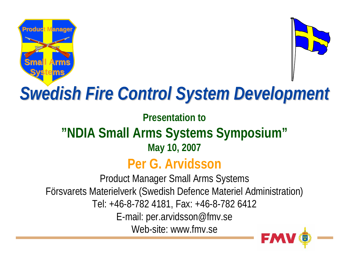



## *Swedish Fire Control System Development Swedish Fire Control System Development*

**Presentation to**

#### **"NDIA Small Arms Systems Symposium" May 10, 2007**

#### **Per G. Arvidsson**

Product Manager Small Arms Systems Försvarets Materielverk (Swedish Defence Materiel Administration) Tel: +46-8-782 4181, Fax: +46-8-782 6412 E-mail: per.arvidsson@fmv.se Web-site: www.fmv.se

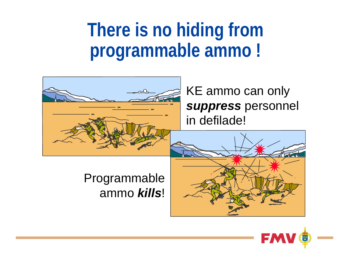## **There is no hiding from programmable ammo !**



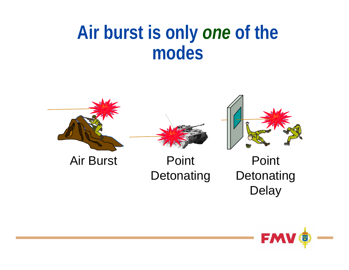### **Air burst is only** *one* **of the modes**





Air Burst Point **Detonating** 

Point **Detonating Delay** 

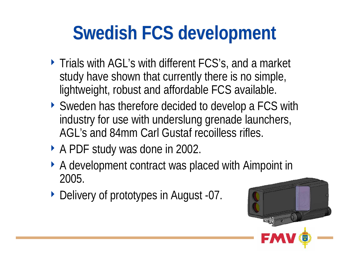# **Swedish FCS development**

- ▶ Trials with AGL's with different FCS's, and a market study have shown that currently there is no simple, lightweight, robust and affordable FCS available.
- ▶ Sweden has therefore decided to develop a FCS with industry for use with underslung grenade launchers, AGL's and 84mm Carl Gustaf recoilless rifles.
- ▶ A PDF study was done in 2002.
- ▶ A development contract was placed with Aimpoint in 2005.
- ▶ Delivery of prototypes in August -07.

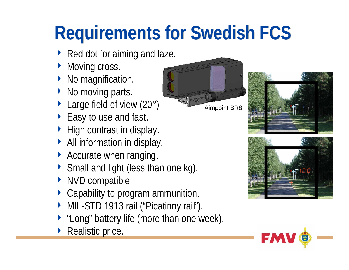# **Requirements for Swedish FCS**

- ▶ Red dot for aiming and laze.
- $\blacktriangleright$ Moving cross.
- No magnification.
- No moving parts.
- ▶ Large field of view (20°)
- ▶ Easy to use and fast.
- ▶ High contrast in display.
- $\triangleright$  All information in display.
- Accurate when ranging.
- ◆ Small and light (less than one kg).
- $\blacktriangleright$ NVD compatible.
- Capability to program ammunition.
- MIL-STD 1913 rail ("Picatinny rail").
- $\blacktriangleright$ "Long" battery life (more than one week).
- $\blacktriangleright$ Realistic price.